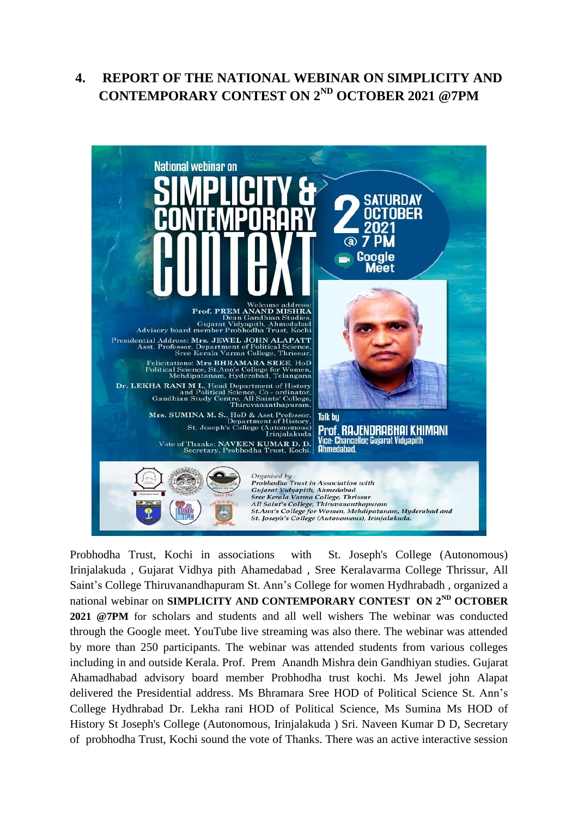## **4. REPORT OF THE NATIONAL WEBINAR ON SIMPLICITY AND CONTEMPORARY CONTEST ON 2ND OCTOBER 2021 @7PM**



Probhodha Trust, Kochi in associations with St. Joseph's College (Autonomous) Irinjalakuda , Gujarat Vidhya pith Ahamedabad , Sree Keralavarma College Thrissur, All Saint's College Thiruvanandhapuram St. Ann's College for women Hydhrabadh , organized a national webinar on **SIMPLICITY AND CONTEMPORARY CONTEST ON 2ND OCTOBER 2021 @7PM** for scholars and students and all well wishers The webinar was conducted through the Google meet. YouTube live streaming was also there. The webinar was attended by more than 250 participants. The webinar was attended students from various colleges including in and outside Kerala. Prof. Prem Anandh Mishra dein Gandhiyan studies. Gujarat Ahamadhabad advisory board member Probhodha trust kochi. Ms Jewel john Alapat delivered the Presidential address. Ms Bhramara Sree HOD of Political Science St. Ann's College Hydhrabad Dr. Lekha rani HOD of Political Science, Ms Sumina Ms HOD of History St Joseph's College (Autonomous, Irinjalakuda ) Sri. Naveen Kumar D D, Secretary of probhodha Trust, Kochi sound the vote of Thanks. There was an active interactive session